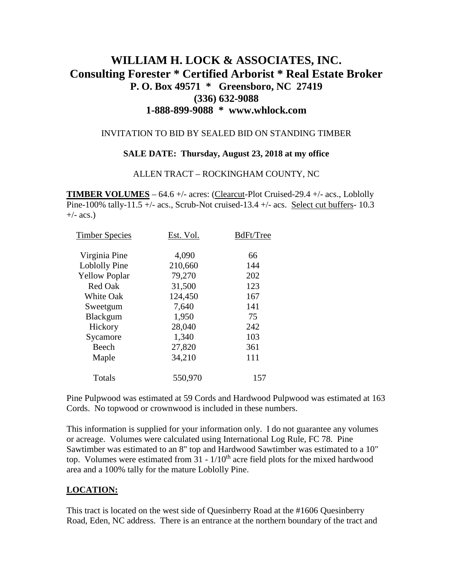# **WILLIAM H. LOCK & ASSOCIATES, INC. Consulting Forester \* Certified Arborist \* Real Estate Broker P. O. Box 49571 \* Greensboro, NC 27419 (336) 632-9088 1-888-899-9088 \* www.whlock.com**

### INVITATION TO BID BY SEALED BID ON STANDING TIMBER

### **SALE DATE: Thursday, August 23, 2018 at my office**

### ALLEN TRACT – ROCKINGHAM COUNTY, NC

**TIMBER VOLUMES** – 64.6 +/- acres: (Clearcut-Plot Cruised-29.4 +/- acs., Loblolly Pine-100% tally-11.5 +/- acs., Scrub-Not cruised-13.4 +/- acs. Select cut buffers-  $10.3$  $+/-$  acs.)

| Est. Vol. | BdFt/Tree |
|-----------|-----------|
| 4,090     | 66        |
| 210,660   | 144       |
| 79,270    | 202       |
| 31,500    | 123       |
| 124,450   | 167       |
| 7,640     | 141       |
| 1,950     | 75        |
| 28,040    | 242       |
| 1,340     | 103       |
| 27,820    | 361       |
| 34,210    | 111       |
| 550,970   | 157       |
|           |           |

Pine Pulpwood was estimated at 59 Cords and Hardwood Pulpwood was estimated at 163 Cords. No topwood or crownwood is included in these numbers.

This information is supplied for your information only. I do not guarantee any volumes or acreage. Volumes were calculated using International Log Rule, FC 78. Pine Sawtimber was estimated to an 8" top and Hardwood Sawtimber was estimated to a 10" top. Volumes were estimated from  $31 - 1/10<sup>th</sup>$  acre field plots for the mixed hardwood area and a 100% tally for the mature Loblolly Pine.

# **LOCATION:**

This tract is located on the west side of Quesinberry Road at the #1606 Quesinberry Road, Eden, NC address. There is an entrance at the northern boundary of the tract and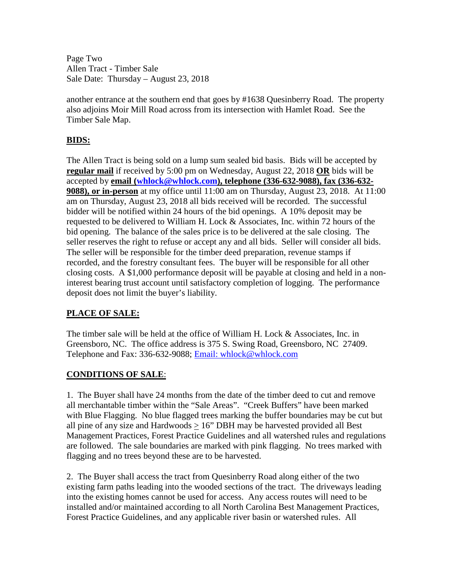Page Two Allen Tract - Timber Sale Sale Date: Thursday – August 23, 2018

another entrance at the southern end that goes by #1638 Quesinberry Road. The property also adjoins Moir Mill Road across from its intersection with Hamlet Road. See the Timber Sale Map.

# **BIDS:**

The Allen Tract is being sold on a lump sum sealed bid basis. Bids will be accepted by **regular mail** if received by 5:00 pm on Wednesday, August 22, 2018 **OR** bids will be accepted by **email [\(whlock@whlock.com\)](mailto:whlock@whlock.com), telephone (336-632-9088), fax (336-632- 9088), or in-person** at my office until 11:00 am on Thursday, August 23, 2018. At 11:00 am on Thursday, August 23, 2018 all bids received will be recorded. The successful bidder will be notified within 24 hours of the bid openings. A 10% deposit may be requested to be delivered to William H. Lock  $\&$  Associates, Inc. within 72 hours of the bid opening. The balance of the sales price is to be delivered at the sale closing. The seller reserves the right to refuse or accept any and all bids. Seller will consider all bids. The seller will be responsible for the timber deed preparation, revenue stamps if recorded, and the forestry consultant fees. The buyer will be responsible for all other closing costs. A \$1,000 performance deposit will be payable at closing and held in a noninterest bearing trust account until satisfactory completion of logging. The performance deposit does not limit the buyer's liability.

# **PLACE OF SALE:**

The timber sale will be held at the office of William H. Lock & Associates, Inc. in Greensboro, NC. The office address is 375 S. Swing Road, Greensboro, NC 27409. Telephone and Fax: 336-632-9088; [Email: whlock@whlock.com](mailto:Email:%20whlock@whlock.com) 

# **CONDITIONS OF SALE**:

1. The Buyer shall have 24 months from the date of the timber deed to cut and remove all merchantable timber within the "Sale Areas". "Creek Buffers" have been marked with Blue Flagging. No blue flagged trees marking the buffer boundaries may be cut but all pine of any size and Hardwoods  $> 16$ " DBH may be harvested provided all Best Management Practices, Forest Practice Guidelines and all watershed rules and regulations are followed. The sale boundaries are marked with pink flagging. No trees marked with flagging and no trees beyond these are to be harvested.

2. The Buyer shall access the tract from Quesinberry Road along either of the two existing farm paths leading into the wooded sections of the tract. The driveways leading into the existing homes cannot be used for access. Any access routes will need to be installed and/or maintained according to all North Carolina Best Management Practices, Forest Practice Guidelines, and any applicable river basin or watershed rules. All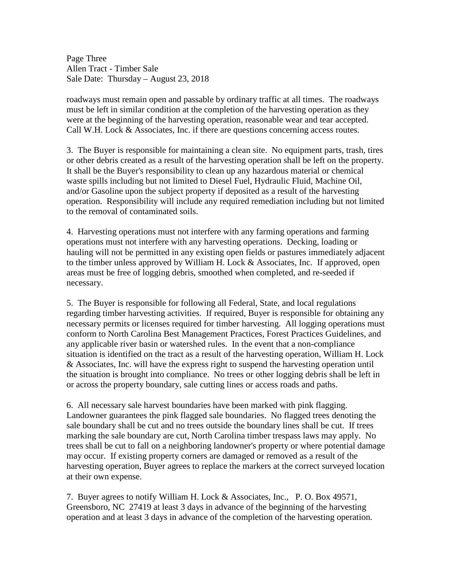Page Three Allen Tract - Timber Sale Sale Date: Thursday – August 23, 2018

roadways must remain open and passable by ordinary traffic at all times. The roadways must be left in similar condition at the completion of the harvesting operation as they were at the beginning of the harvesting operation, reasonable wear and tear accepted. Call W.H. Lock & Associates, Inc. if there are questions concerning access routes.

3. The Buyer is responsible for maintaining a clean site. No equipment parts, trash, tires or other debris created as a result of the harvesting operation shall be left on the property. It shall be the Buyer's responsibility to clean up any hazardous material or chemical waste spills including but not limited to Diesel Fuel, Hydraulic Fluid, Machine Oil, and/or Gasoline upon the subject property if deposited as a result of the harvesting operation. Responsibility will include any required remediation including but not limited to the removal of contaminated soils.

4. Harvesting operations must not interfere with any farming operations and farming operations must not interfere with any harvesting operations. Decking, loading or hauling will not be permitted in any existing open fields or pastures immediately adjacent to the timber unless approved by William H. Lock & Associates, Inc. If approved, open areas must be free of logging debris, smoothed when completed, and re-seeded if necessary.

5. The Buyer is responsible for following all Federal, State, and local regulations regarding timber harvesting activities. If required, Buyer is responsible for obtaining any necessary permits or licenses required for timber harvesting. All logging operations must conform to North Carolina Best Management Practices, Forest Practices Guidelines, and any applicable river basin or watershed rules. In the event that a non-compliance situation is identified on the tract as a result of the harvesting operation, William H. Lock & Associates, Inc. will have the express right to suspend the harvesting operation until the situation is brought into compliance. No trees or other logging debris shall be left in or across the property boundary, sale cutting lines or access roads and paths.

6. All necessary sale harvest boundaries have been marked with pink flagging. Landowner guarantees the pink flagged sale boundaries. No flagged trees denoting the sale boundary shall be cut and no trees outside the boundary lines shall be cut. If trees marking the sale boundary are cut, North Carolina timber trespass laws may apply. No trees shall be cut to fall on a neighboring landowner's property or where potential damage may occur. If existing property corners are damaged or removed as a result of the harvesting operation, Buyer agrees to replace the markers at the correct surveyed location at their own expense.

7. Buyer agrees to notify William H. Lock & Associates, Inc., P. O. Box 49571, Greensboro, NC 27419 at least 3 days in advance of the beginning of the harvesting operation and at least 3 days in advance of the completion of the harvesting operation.